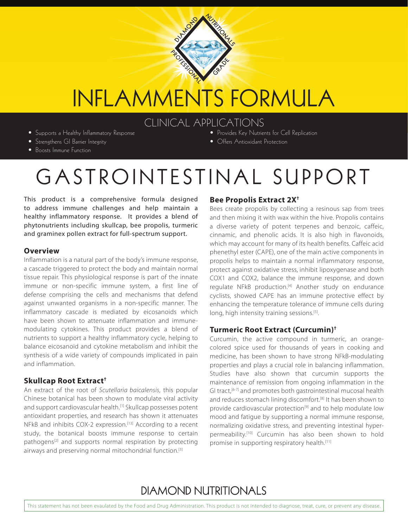

# INFLAMMENTS FORMULA

### CLINICAL APPLICATIONS

• Supports a Healthy Inflammatory Response • Strengthens GI Barrier Integrity

- Provides Key Nutrients for Cell Replication • Offers Antioxidant Protection
- 
- Boosts Immune Function

## GASTROINTESTINAL SUPPORT

This product is a comprehensive formula designed to address immune challenges and help maintain a healthy inflammatory response. It provides a blend of phytonutrients including skullcap, bee propolis, turmeric and graminex pollen extract for full-spectrum support.

#### **Overview**

Inflammation is a natural part of the body's immune response, a cascade triggered to protect the body and maintain normal tissue repair. This physiological response is part of the innate immune or non-specific immune system, a first line of defense comprising the cells and mechanisms that defend against unwanted organisms in a non-specific manner. The inflammatory cascade is mediated by eicosanoids which have been shown to attenuate inflammation and immunemodulating cytokines. This product provides a blend of nutrients to support a healthy inflammatory cycle, helping to balance eicosanoid and cytokine metabolism and inhibit the synthesis of a wide variety of compounds implicated in pain and inflammation.

#### **Skullcap Root Extract†**

An extract of the root of *Scutellaria baicalensis*, this popular Chinese botanical has been shown to modulate viral activity and support cardiovascular health.<sup>[1]</sup> Skullcap possesses potent antioxidant properties, and research has shown it attenuates NFkB and inhibits COX-2 expression.<sup>[13]</sup> According to a recent study, the botanical boosts immune response to certain pathogens[2] and supports normal respiration by protecting airways and preserving normal mitochondrial function.[3]

#### **Bee Propolis Extract 2X†**

Bees create propolis by collecting a resinous sap from trees and then mixing it with wax within the hive. Propolis contains a diverse variety of potent terpenes and benzoic, caffeic, cinnamic, and phenolic acids. It is also high in flavonoids, which may account for many of its health benefits. Caffeic acid phenethyl ester (CAPE), one of the main active components in propolis helps to maintain a normal inflammatory response, protect against oxidative stress, inhibit lipoxygenase and both COX1 and COX2, balance the immune response, and down regulate NFkB production.<sup>[4]</sup> Another study on endurance cyclists, showed CAPE has an immune protective effect by enhancing the temperature tolerance of immune cells during long, high intensity training sessions.<sup>[5]</sup>.

#### **Turmeric Root Extract (Curcumin)†**

Curcumin, the active compound in turmeric, an orangecolored spice used for thousands of years in cooking and medicine, has been shown to have strong NFkB-modulating properties and plays a crucial role in balancing inflammation. Studies have also shown that curcumin supports the maintenance of remission from ongoing inflammation in the GI tract,<sup>[6-7]</sup> and promotes both gastrointestinal mucosal health and reduces stomach lining discomfort.<sup>[8]</sup> It has been shown to provide cardiovascular protection<sup>[9]</sup> and to help modulate low mood and fatigue by supporting a normal immune response, normalizing oxidative stress, and preventing intestinal hyperpermeability.[10] Curcumin has also been shown to hold promise in supporting respiratory health.<sup>[11]</sup>

### **DIAMOND NUTRITIONALS**